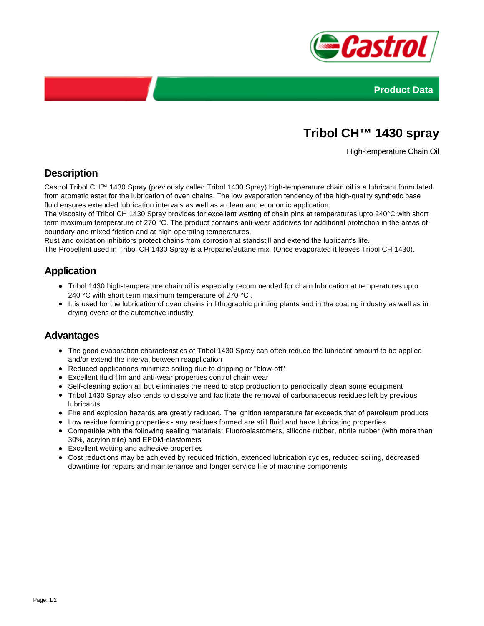



# **Tribol CH™ 1430 spray**

High-temperature Chain Oil

# **Description**

Castrol Tribol CH™ 1430 Spray (previously called Tribol 1430 Spray) high-temperature chain oil is a lubricant formulated from aromatic ester for the lubrication of oven chains. The low evaporation tendency of the high-quality synthetic base fluid ensures extended lubrication intervals as well as a clean and economic application.

The viscosity of Tribol CH 1430 Spray provides for excellent wetting of chain pins at temperatures upto 240°C with short term maximum temperature of 270 °C. The product contains anti-wear additives for additional protection in the areas of boundary and mixed friction and at high operating temperatures.

Rust and oxidation inhibitors protect chains from corrosion at standstill and extend the lubricant's life.

The Propellent used in Tribol CH 1430 Spray is a Propane/Butane mix. (Once evaporated it leaves Tribol CH 1430).

### **Application**

- Tribol 1430 high-temperature chain oil is especially recommended for chain lubrication at temperatures upto 240 °C with short term maximum temperature of 270 °C .
- It is used for the lubrication of oven chains in lithographic printing plants and in the coating industry as well as in drying ovens of the automotive industry

#### **Advantages**

- The good evaporation characteristics of Tribol 1430 Spray can often reduce the lubricant amount to be applied and/or extend the interval between reapplication
- Reduced applications minimize soiling due to dripping or "blow-off"
- Excellent fluid film and anti-wear properties control chain wear
- Self-cleaning action all but eliminates the need to stop production to periodically clean some equipment
- Tribol 1430 Spray also tends to dissolve and facilitate the removal of carbonaceous residues left by previous lubricants
- Fire and explosion hazards are greatly reduced. The ignition temperature far exceeds that of petroleum products
- Low residue forming properties any residues formed are still fluid and have lubricating properties
- Compatible with the following sealing materials: Fluoroelastomers, silicone rubber, nitrile rubber (with more than 30%, acrylonitrile) and EPDM-elastomers
- Excellent wetting and adhesive properties
- Cost reductions may be achieved by reduced friction, extended lubrication cycles, reduced soiling, decreased downtime for repairs and maintenance and longer service life of machine components